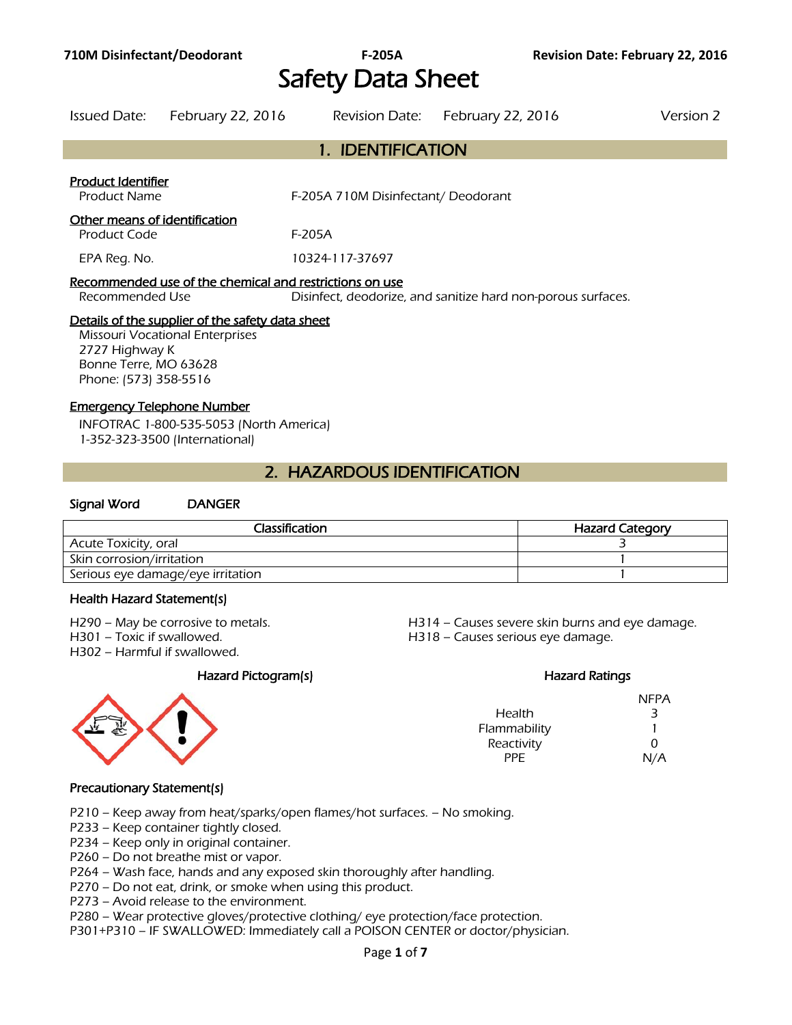# Safety Data Sheet

| <b>Issued Date:</b>                                                                                                                                            | February 22, 2016                                       | Revision Date:                      | <b>February 22, 2016</b>                                     | Version 2 |
|----------------------------------------------------------------------------------------------------------------------------------------------------------------|---------------------------------------------------------|-------------------------------------|--------------------------------------------------------------|-----------|
|                                                                                                                                                                |                                                         | 1. IDENTIFICATION                   |                                                              |           |
| Product Identifier<br><b>Product Name</b>                                                                                                                      |                                                         | F-205A 710M Disinfectant/ Deodorant |                                                              |           |
| Other means of identification<br>Product Code                                                                                                                  |                                                         | F-205A                              |                                                              |           |
| EPA Reg. No.                                                                                                                                                   |                                                         | 10324-117-37697                     |                                                              |           |
| Recommended Use                                                                                                                                                | Recommended use of the chemical and restrictions on use |                                     | Disinfect, deodorize, and sanitize hard non-porous surfaces. |           |
| Details of the supplier of the safety data sheet<br><b>Missouri Vocational Enterprises</b><br>2727 Highway K<br>Bonne Terre, MO 63628<br>Phone: (573) 358-5516 |                                                         |                                     |                                                              |           |

#### Emergency Telephone Number

INFOTRAC 1-800-535-5053 (North America) 1-352-323-3500 (International)

# 2. HAZARDOUS IDENTIFICATION

#### Signal Word DANGER

| Classification                    | <b>Hazard Category</b> |
|-----------------------------------|------------------------|
| Acute Toxicity, oral              |                        |
| Skin corrosion/irritation         |                        |
| Serious eye damage/eye irritation |                        |
|                                   |                        |

#### Health Hazard Statement(s)

H302 – Harmful if swallowed.

H290 – May be corrosive to metals. H314 – Causes severe skin burns and eye damage. H301 – Toxic if swallowed. H318 – Causes serious eye damage.

#### Hazard Pictogram(s) **Hazard Ratings** Hazard Ratings

|              | <b>NFPA</b> |
|--------------|-------------|
| Health       | 3           |
| Flammability |             |
| Reactivity   | ŋ           |
| PPF.         | N/A         |

#### Precautionary Statement(s)

P210 – Keep away from heat/sparks/open flames/hot surfaces. – No smoking.

P233 – Keep container tightly closed.

P234 – Keep only in original container.

P260 – Do not breathe mist or vapor.

P264 – Wash face, hands and any exposed skin thoroughly after handling.

P270 – Do not eat, drink, or smoke when using this product.

P273 – Avoid release to the environment.

P280 – Wear protective gloves/protective clothing/ eye protection/face protection.

P301+P310 – IF SWALLOWED: Immediately call a POISON CENTER or doctor/physician.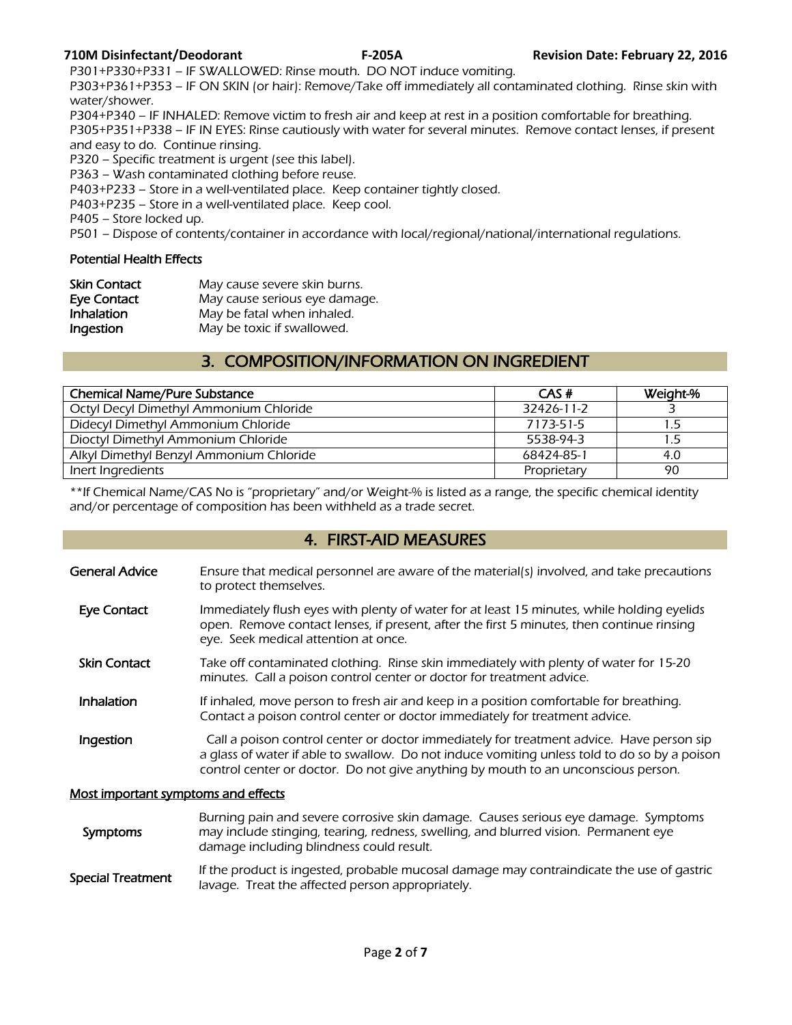P301+P330+P331 – IF SWALLOWED: Rinse mouth. DO NOT induce vomiting.

P303+P361+P353 – IF ON SKIN (or hair): Remove/Take off immediately all contaminated clothing. Rinse skin with water/shower.

P304+P340 – IF INHALED: Remove victim to fresh air and keep at rest in a position comfortable for breathing. P305+P351+P338 – IF IN EYES: Rinse cautiously with water for several minutes. Remove contact lenses, if present and easy to do. Continue rinsing.

P320 – Specific treatment is urgent (see this label).

P363 – Wash contaminated clothing before reuse.

P403+P233 – Store in a well-ventilated place. Keep container tightly closed.

P403+P235 – Store in a well-ventilated place. Keep cool.

P405 – Store locked up.

P501 – Dispose of contents/container in accordance with local/regional/national/international regulations.

#### Potential Health Effects

| <b>Skin Contact</b> | May cause severe skin burns.  |
|---------------------|-------------------------------|
| Eye Contact         | May cause serious eye damage. |
| <b>Inhalation</b>   | May be fatal when inhaled.    |
| Ingestion           | May be toxic if swallowed.    |

# 3. COMPOSITION/INFORMATION ON INGREDIENT

| <b>Chemical Name/Pure Substance</b>     | CAS#        | Weight-% |
|-----------------------------------------|-------------|----------|
| Octyl Decyl Dimethyl Ammonium Chloride  | 32426-11-2  |          |
| Didecyl Dimethyl Ammonium Chloride      | 7173-51-5   |          |
| Dioctyl Dimethyl Ammonium Chloride      | 5538-94-3   |          |
| Alkyl Dimethyl Benzyl Ammonium Chloride | 68424-85-1  | 4.0      |
| Inert Ingredients                       | Proprietary | 90       |

\*\*If Chemical Name/CAS No is "proprietary" and/or Weight-% is listed as a range, the specific chemical identity and/or percentage of composition has been withheld as a trade secret.

# 4. FIRST-AID MEASURES

- General Advice Ensure that medical personnel are aware of the material(s) involved, and take precautions to protect themselves.
- Eye Contact Immediately flush eyes with plenty of water for at least 15 minutes, while holding eyelids open. Remove contact lenses, if present, after the first 5 minutes, then continue rinsing eye. Seek medical attention at once.
- Skin Contact Take off contaminated clothing. Rinse skin immediately with plenty of water for 15-20 minutes. Call a poison control center or doctor for treatment advice.
- Inhalation If inhaled, move person to fresh air and keep in a position comfortable for breathing. Contact a poison control center or doctor immediately for treatment advice.
- **Ingestion** Call a poison control center or doctor immediately for treatment advice. Have person sip a glass of water if able to swallow. Do not induce vomiting unless told to do so by a poison control center or doctor. Do not give anything by mouth to an unconscious person.

#### Most important symptoms and effects

 Symptoms Burning pain and severe corrosive skin damage. Causes serious eye damage. Symptoms may include stinging, tearing, redness, swelling, and blurred vision. Permanent eye damage including blindness could result.

Special Treatment<br>Interior Treat the effected express accordination and contraindicate the use of gastric lavage. Treat the affected person appropriately.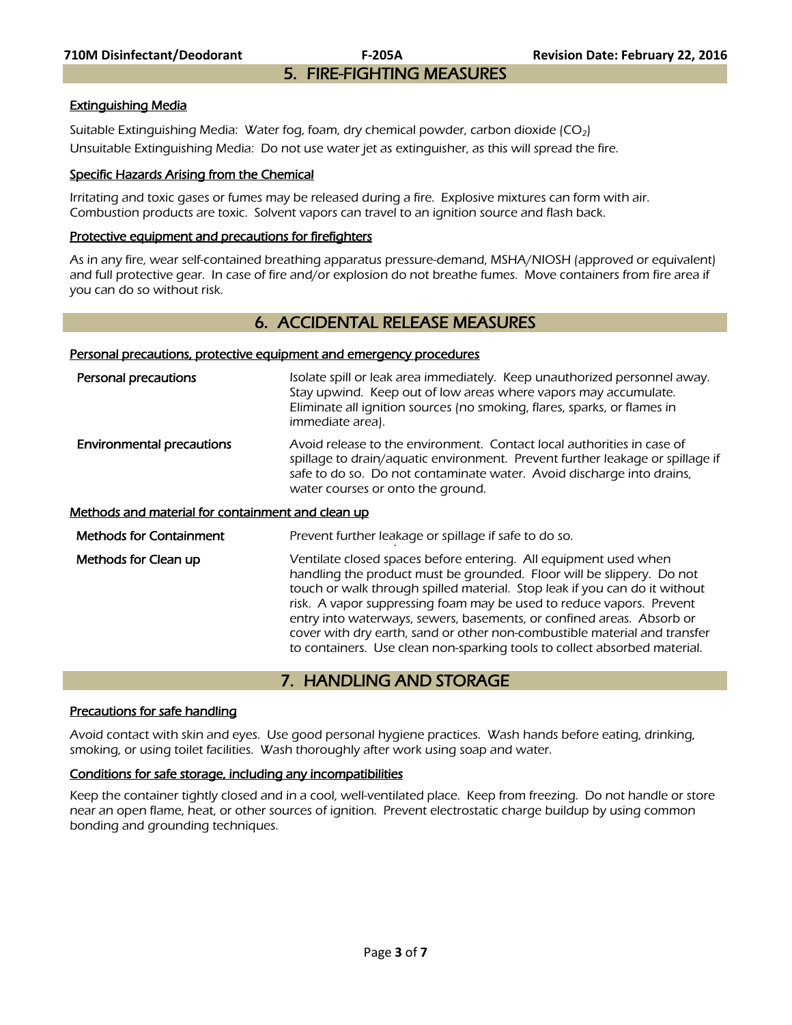#### Extinguishing Media

Suitable Extinguishing Media: Water fog, foam, dry chemical powder, carbon dioxide  $(CO<sub>2</sub>)$ Unsuitable Extinguishing Media: Do not use water jet as extinguisher, as this will spread the fire.

#### Specific Hazards Arising from the Chemical

Irritating and toxic gases or fumes may be released during a fire. Explosive mixtures can form with air. Combustion products are toxic. Solvent vapors can travel to an ignition source and flash back.

#### Protective equipment and precautions for firefighters

As in any fire, wear self-contained breathing apparatus pressure-demand, MSHA/NIOSH (approved or equivalent) and full protective gear. In case of fire and/or explosion do not breathe fumes. Move containers from fire area if you can do so without risk.

# 6. ACCIDENTAL RELEASE MEASURES

#### Personal precautions, protective equipment and emergency procedures

| Personal precautions                              | Isolate spill or leak area immediately. Keep unauthorized personnel away.<br>Stay upwind. Keep out of low areas where vapors may accumulate.                                                                                                                                                                                                                                                                                                          |
|---------------------------------------------------|-------------------------------------------------------------------------------------------------------------------------------------------------------------------------------------------------------------------------------------------------------------------------------------------------------------------------------------------------------------------------------------------------------------------------------------------------------|
|                                                   | Eliminate all ignition sources (no smoking, flares, sparks, or flames in<br>immediate area).                                                                                                                                                                                                                                                                                                                                                          |
| <b>Environmental precautions</b>                  | Avoid release to the environment. Contact local authorities in case of<br>spillage to drain/aquatic environment. Prevent further leakage or spillage if<br>safe to do so. Do not contaminate water. Avoid discharge into drains,<br>water courses or onto the ground.                                                                                                                                                                                 |
| Methods and material for containment and clean up |                                                                                                                                                                                                                                                                                                                                                                                                                                                       |
| <b>Methods for Containment</b>                    | Prevent further leakage or spillage if safe to do so.                                                                                                                                                                                                                                                                                                                                                                                                 |
| Methods for Clean up                              | Ventilate closed spaces before entering. All equipment used when<br>handling the product must be grounded. Floor will be slippery. Do not<br>touch or walk through spilled material. Stop leak if you can do it without<br>risk. A vapor suppressing foam may be used to reduce vapors. Prevent<br>entry into waterways, sewers, basements, or confined areas. Absorb or<br>cover with dry earth, sand or other non-combustible material and transfer |

# 7. HANDLING AND STORAGE

to containers. Use clean non-sparking tools to collect absorbed material.

#### Precautions for safe handling

Avoid contact with skin and eyes. Use good personal hygiene practices. Wash hands before eating, drinking, smoking, or using toilet facilities. Wash thoroughly after work using soap and water.

#### Conditions for safe storage, including any incompatibilities

Keep the container tightly closed and in a cool, well-ventilated place. Keep from freezing. Do not handle or store near an open flame, heat, or other sources of ignition. Prevent electrostatic charge buildup by using common bonding and grounding techniques.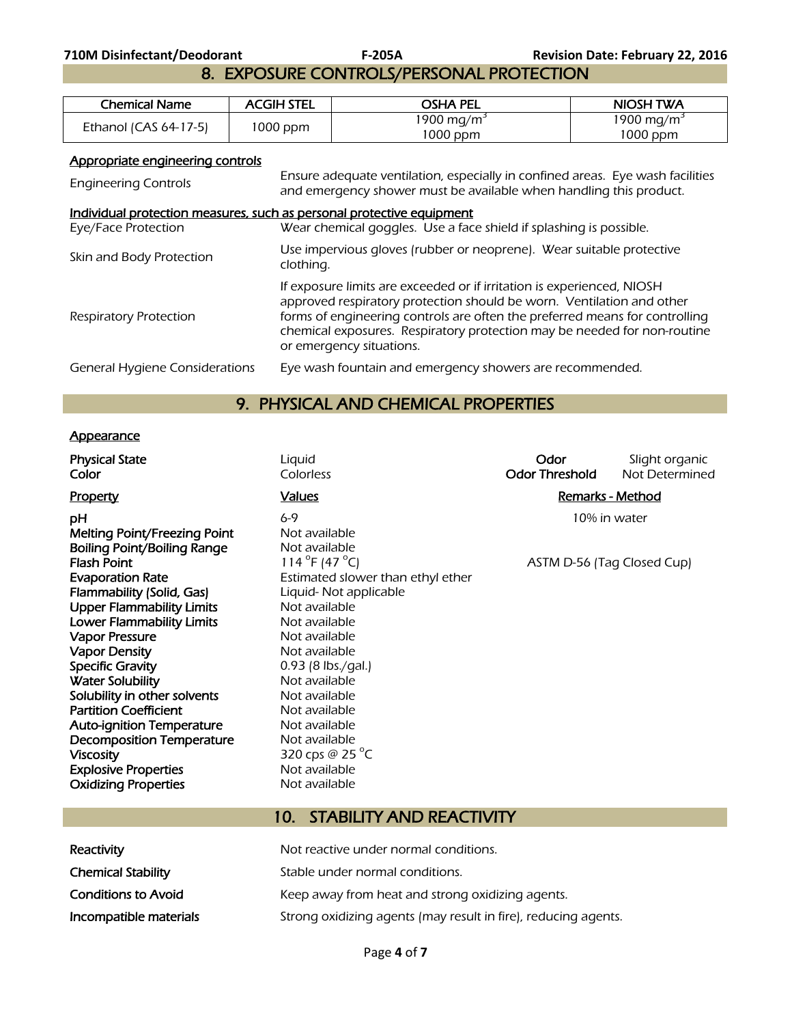8. EXPOSURE CONTROLS/PERSONAL PROTECTION

| Chemical Name            | <b>ACGIH STEL</b> | osha pel                           | NIOSH TWA                            |
|--------------------------|-------------------|------------------------------------|--------------------------------------|
| Ethanol (CAS $64-17-5$ ) | 1000 ppm          | 1900 mg/m <sup>3</sup><br>1000 ppm | 1900 mg/m <sup>3</sup><br>$1000$ ppm |

# Appropriate engineering controls

| <b>Engineering Controls</b>                                                                  | Ensure adequate ventilation, especially in confined areas. Eye wash facilities<br>and emergency shower must be available when handling this product.                                                                                                                                                                                   |
|----------------------------------------------------------------------------------------------|----------------------------------------------------------------------------------------------------------------------------------------------------------------------------------------------------------------------------------------------------------------------------------------------------------------------------------------|
| Individual protection measures, such as personal protective equipment<br>Eye/Face Protection | Wear chemical goggles. Use a face shield if splashing is possible.                                                                                                                                                                                                                                                                     |
| Skin and Body Protection                                                                     | Use impervious gloves (rubber or neoprene). Wear suitable protective<br>clothing.                                                                                                                                                                                                                                                      |
| <b>Respiratory Protection</b>                                                                | If exposure limits are exceeded or if irritation is experienced, NIOSH<br>approved respiratory protection should be worn. Ventilation and other<br>forms of engineering controls are often the preferred means for controlling<br>chemical exposures. Respiratory protection may be needed for non-routine<br>or emergency situations. |
| General Hygiene Considerations                                                               | Eye wash fountain and emergency showers are recommended.                                                                                                                                                                                                                                                                               |

# 9. PHYSICAL AND CHEMICAL PROPERTIES

# **Appearance**

| <b>Physical State</b><br>Color                                                                                                                                                                                                                                                                                                                                                                        | Liquid<br>Colorless                                                                                                                                                                                                                                                                       | Odor<br><b>Odor Threshold</b> | Slight organic<br>Not Determined |
|-------------------------------------------------------------------------------------------------------------------------------------------------------------------------------------------------------------------------------------------------------------------------------------------------------------------------------------------------------------------------------------------------------|-------------------------------------------------------------------------------------------------------------------------------------------------------------------------------------------------------------------------------------------------------------------------------------------|-------------------------------|----------------------------------|
| Property                                                                                                                                                                                                                                                                                                                                                                                              | Values                                                                                                                                                                                                                                                                                    |                               | <b>Remarks - Method</b>          |
| pН<br><b>Melting Point/Freezing Point</b><br>Boiling Point/Boiling Range<br><b>Flash Point</b><br><b>Evaporation Rate</b><br>Flammability (Solid, Gas)<br><b>Upper Flammability Limits</b><br><b>Lower Flammability Limits</b><br><b>Vapor Pressure</b><br><b>Vapor Density</b><br><b>Specific Gravity</b><br><b>Water Solubility</b><br>Solubility in other solvents<br><b>Partition Coefficient</b> | 6-9<br>Not available<br>Not available<br>114 $^{\circ}$ F (47 $^{\circ}$ C)<br>Estimated slower than ethyl ether<br>Liquid- Not applicable<br>Not available<br>Not available<br>Not available<br>Not available<br>$0.93$ (8 lbs./gal.)<br>Not available<br>Not available<br>Not available | ASTM D-56 (Tag Closed Cup)    | 10% in water                     |
| <b>Auto-ignition Temperature</b>                                                                                                                                                                                                                                                                                                                                                                      | Not available                                                                                                                                                                                                                                                                             |                               |                                  |
| <b>Decomposition Temperature</b>                                                                                                                                                                                                                                                                                                                                                                      | Not available                                                                                                                                                                                                                                                                             |                               |                                  |
| <b>Viscosity</b>                                                                                                                                                                                                                                                                                                                                                                                      | 320 cps @ 25 $^{\circ}$ C                                                                                                                                                                                                                                                                 |                               |                                  |
| <b>Explosive Properties</b><br><b>Oxidizing Properties</b>                                                                                                                                                                                                                                                                                                                                            | Not available<br>Not available                                                                                                                                                                                                                                                            |                               |                                  |
|                                                                                                                                                                                                                                                                                                                                                                                                       | $\sim$<br>CTATUITUATIDATATATUATU                                                                                                                                                                                                                                                          |                               |                                  |

# 10. STABILITY AND REACTIVITY

| Reactivity                 | Not reactive under normal conditions.                          |
|----------------------------|----------------------------------------------------------------|
| <b>Chemical Stability</b>  | Stable under normal conditions.                                |
| <b>Conditions to Avoid</b> | Keep away from heat and strong oxidizing agents.               |
| Incompatible materials     | Strong oxidizing agents (may result in fire), reducing agents. |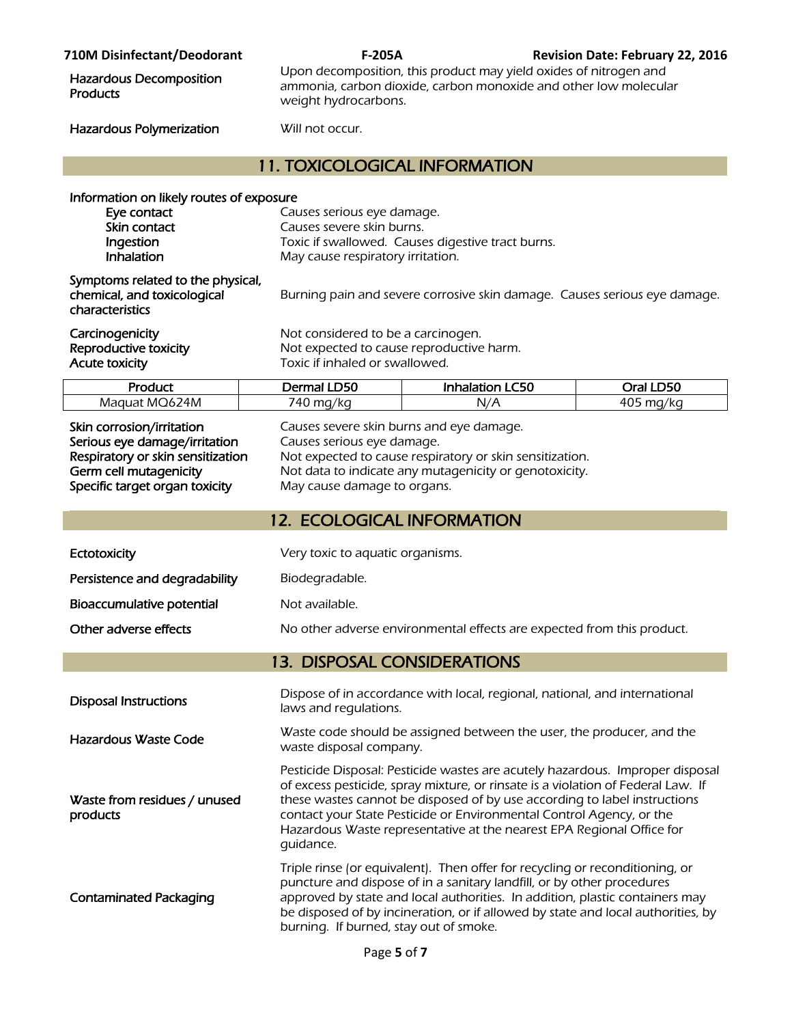| <b>710M Disinfectant/Deodorant</b>                                                                                                                                                                                                                             | F-205A                                                                                                                                                                                                           |                                                                                                                                                                                                                                                                                                                                                                                                 | <b>Revision Date: February 22, 2016</b> |  |
|----------------------------------------------------------------------------------------------------------------------------------------------------------------------------------------------------------------------------------------------------------------|------------------------------------------------------------------------------------------------------------------------------------------------------------------------------------------------------------------|-------------------------------------------------------------------------------------------------------------------------------------------------------------------------------------------------------------------------------------------------------------------------------------------------------------------------------------------------------------------------------------------------|-----------------------------------------|--|
| <b>Hazardous Decomposition</b><br><b>Products</b>                                                                                                                                                                                                              |                                                                                                                                                                                                                  | Upon decomposition, this product may yield oxides of nitrogen and<br>ammonia, carbon dioxide, carbon monoxide and other low molecular<br>weight hydrocarbons.                                                                                                                                                                                                                                   |                                         |  |
| Hazardous Polymerization                                                                                                                                                                                                                                       | Will not occur.                                                                                                                                                                                                  |                                                                                                                                                                                                                                                                                                                                                                                                 |                                         |  |
|                                                                                                                                                                                                                                                                | <b>11. TOXICOLOGICAL INFORMATION</b>                                                                                                                                                                             |                                                                                                                                                                                                                                                                                                                                                                                                 |                                         |  |
| Information on likely routes of exposure<br>Eye contact<br>Skin contact<br>Ingestion<br>Inhalation<br>Symptoms related to the physical,<br>chemical, and toxicological<br>characteristics<br>Carcinogenicity<br>Reproductive toxicity<br><b>Acute toxicity</b> | Causes serious eye damage.<br>Causes severe skin burns.<br>May cause respiratory irritation.<br>Not considered to be a carcinogen.<br>Not expected to cause reproductive harm.<br>Toxic if inhaled or swallowed. | Toxic if swallowed. Causes digestive tract burns.<br>Burning pain and severe corrosive skin damage. Causes serious eye damage.                                                                                                                                                                                                                                                                  |                                         |  |
| Product                                                                                                                                                                                                                                                        | Dermal LD50                                                                                                                                                                                                      | <b>Inhalation LC50</b>                                                                                                                                                                                                                                                                                                                                                                          | Oral LD50                               |  |
| Maquat MQ624M                                                                                                                                                                                                                                                  | 740 mg/kg                                                                                                                                                                                                        | N/A                                                                                                                                                                                                                                                                                                                                                                                             | 405 mg/kg                               |  |
| Skin corrosion/irritation<br>Serious eye damage/irritation<br>Respiratory or skin sensitization<br>Germ cell mutagenicity<br>Specific target organ toxicity                                                                                                    |                                                                                                                                                                                                                  | Causes severe skin burns and eye damage.<br>Causes serious eye damage.<br>Not expected to cause respiratory or skin sensitization.<br>Not data to indicate any mutagenicity or genotoxicity.<br>May cause damage to organs.                                                                                                                                                                     |                                         |  |
|                                                                                                                                                                                                                                                                | <b>12. ECOLOGICAL INFORMATION</b>                                                                                                                                                                                |                                                                                                                                                                                                                                                                                                                                                                                                 |                                         |  |
| Ectotoxicity                                                                                                                                                                                                                                                   | Very toxic to aquatic organisms.                                                                                                                                                                                 |                                                                                                                                                                                                                                                                                                                                                                                                 |                                         |  |
| Persistence and degradability                                                                                                                                                                                                                                  | Biodegradable.                                                                                                                                                                                                   |                                                                                                                                                                                                                                                                                                                                                                                                 |                                         |  |
| Bioaccumulative potential                                                                                                                                                                                                                                      | Not available.                                                                                                                                                                                                   |                                                                                                                                                                                                                                                                                                                                                                                                 |                                         |  |
| Other adverse effects                                                                                                                                                                                                                                          |                                                                                                                                                                                                                  | No other adverse environmental effects are expected from this product.                                                                                                                                                                                                                                                                                                                          |                                         |  |
|                                                                                                                                                                                                                                                                | <b>13. DISPOSAL CONSIDERATIONS</b>                                                                                                                                                                               |                                                                                                                                                                                                                                                                                                                                                                                                 |                                         |  |
| <b>Disposal Instructions</b>                                                                                                                                                                                                                                   | laws and regulations.                                                                                                                                                                                            | Dispose of in accordance with local, regional, national, and international                                                                                                                                                                                                                                                                                                                      |                                         |  |
| <b>Hazardous Waste Code</b>                                                                                                                                                                                                                                    | waste disposal company.                                                                                                                                                                                          | Waste code should be assigned between the user, the producer, and the                                                                                                                                                                                                                                                                                                                           |                                         |  |
| Waste from residues / unused<br>products                                                                                                                                                                                                                       | quidance.                                                                                                                                                                                                        | Pesticide Disposal: Pesticide wastes are acutely hazardous. Improper disposal<br>of excess pesticide, spray mixture, or rinsate is a violation of Federal Law. If<br>these wastes cannot be disposed of by use according to label instructions<br>contact your State Pesticide or Environmental Control Agency, or the<br>Hazardous Waste representative at the nearest EPA Regional Office for |                                         |  |
| <b>Contaminated Packaging</b>                                                                                                                                                                                                                                  | burning. If burned, stay out of smoke.                                                                                                                                                                           | Triple rinse (or equivalent). Then offer for recycling or reconditioning, or<br>puncture and dispose of in a sanitary landfill, or by other procedures<br>approved by state and local authorities. In addition, plastic containers may<br>be disposed of by incineration, or if allowed by state and local authorities, by                                                                      |                                         |  |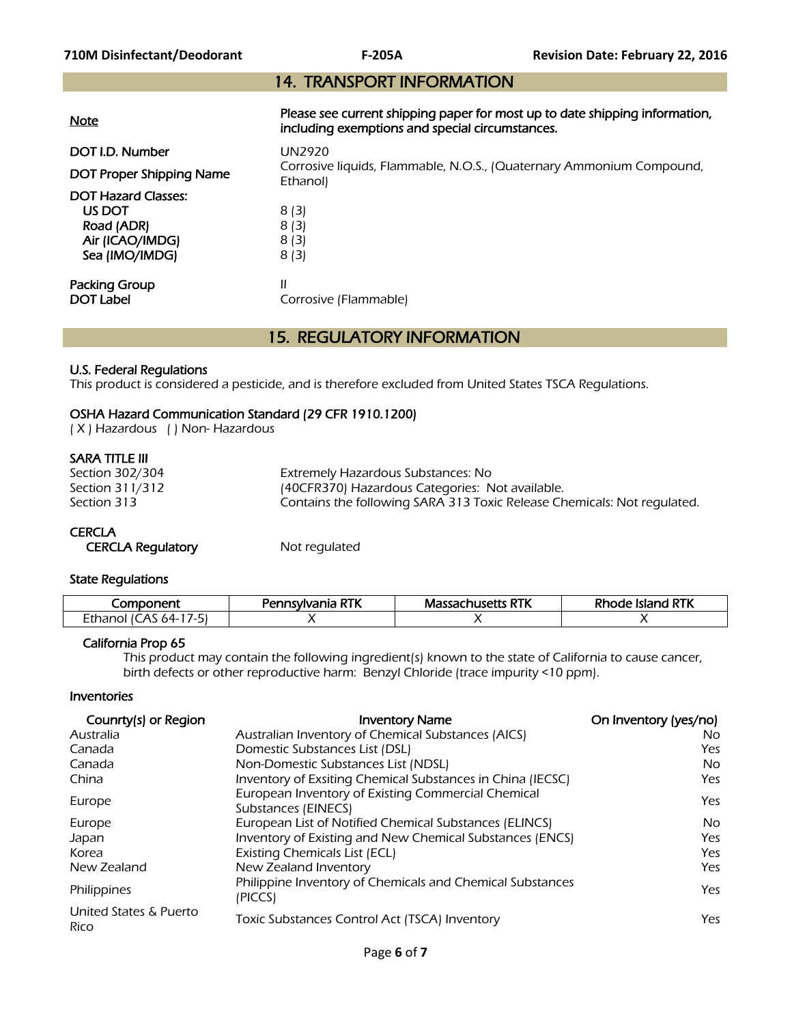# 14. TRANSPORT INFORMATION

| <b>Note</b>                                                                             | Please see current shipping paper for most up to date shipping information,<br>including exemptions and special circumstances. |
|-----------------------------------------------------------------------------------------|--------------------------------------------------------------------------------------------------------------------------------|
| DOT I.D. Number<br>DOT Proper Shipping Name                                             | <b>UN2920</b><br>Corrosive liquids, Flammable, N.O.S., (Quaternary Ammonium Compound,<br>Ethanol)                              |
| <b>DOT Hazard Classes:</b><br>US DOT<br>Road (ADR)<br>Air (ICAO/IMDG)<br>Sea (IMO/IMDG) | 8(3)<br>8(3)<br>8(3)<br>8(3)                                                                                                   |
| Packing Group<br><b>DOT Label</b>                                                       | Ш<br>Corrosive (Flammable)                                                                                                     |

# 15. REGULATORY INFORMATION

#### U.S. Federal Regulations

This product is considered a pesticide, and is therefore excluded from United States TSCA Regulations.

### OSHA Hazard Communication Standard (29 CFR 1910.1200)

( X ) Hazardous ( ) Non- Hazardous

#### SARA TITLE III

| Section 302/304 | Extremely Hazardous Substances: No                                      |
|-----------------|-------------------------------------------------------------------------|
| Section 311/312 | (40CFR370) Hazardous Categories: Not available.                         |
| Section 313     | Contains the following SARA 313 Toxic Release Chemicals: Not regulated. |

#### **CERCLA**

CERCLA Regulatory **Not regulated** 

#### State Regulations

| wildoner*<br>⊂omr                 | Pennsylvania RTK | 'assachusetts RTK<br>Massac | 1 RTK<br>Rhode<br>Island |
|-----------------------------------|------------------|-----------------------------|--------------------------|
| Ethanol<br>$.4 -$<br>$\mathbf{r}$ |                  |                             |                          |

#### California Prop 65

 This product may contain the following ingredient(s) known to the state of California to cause cancer, birth defects or other reproductive harm: Benzyl Chloride (trace impurity <10 ppm).

#### Inventories

| Counrty(s) or Region           | <b>Inventory Name</b>                                                     | On Inventory (yes/no) |
|--------------------------------|---------------------------------------------------------------------------|-----------------------|
| Australia                      | Australian Inventory of Chemical Substances (AICS)                        | No.                   |
| Canada                         | Domestic Substances List (DSL)                                            | Yes                   |
| Canada                         | Non-Domestic Substances List (NDSL)                                       | No.                   |
| China                          | Inventory of Exsiting Chemical Substances in China (IECSC)                | Yes                   |
| Europe                         | European Inventory of Existing Commercial Chemical<br>Substances (EINECS) | Yes                   |
| Europe                         | European List of Notified Chemical Substances (ELINCS)                    | <b>No</b>             |
| Japan                          | Inventory of Existing and New Chemical Substances (ENCS)                  | Yes                   |
| Korea                          | <b>Existing Chemicals List (ECL)</b>                                      | Yes                   |
| New Zealand                    | New Zealand Inventory                                                     | Yes                   |
| Philippines                    | Philippine Inventory of Chemicals and Chemical Substances<br>(PICCS)      | Yes                   |
| United States & Puerto<br>Rico | Toxic Substances Control Act (TSCA) Inventory                             | Yes                   |